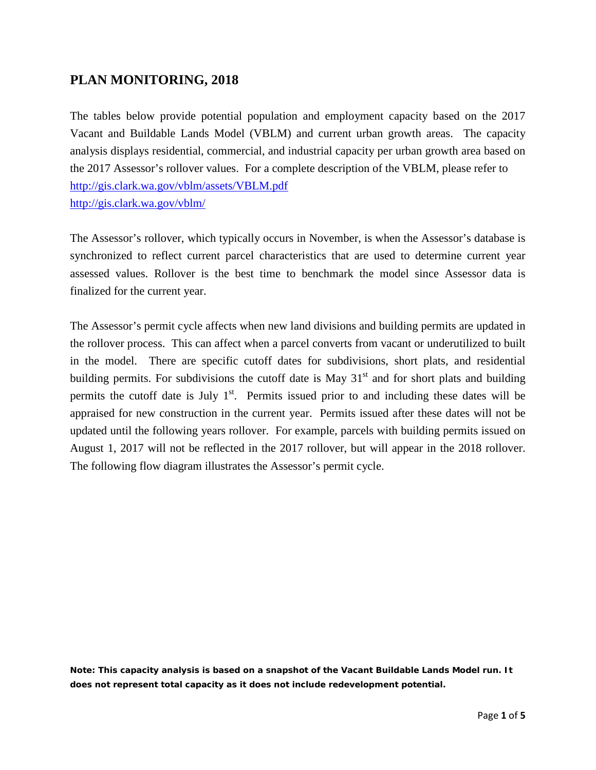## **PLAN MONITORING, 2018**

The tables below provide potential population and employment capacity based on the 2017 Vacant and Buildable Lands Model (VBLM) and current urban growth areas. The capacity analysis displays residential, commercial, and industrial capacity per urban growth area based on the 2017 Assessor's rollover values. For a complete description of the VBLM, please refer to <http://gis.clark.wa.gov/vblm/assets/VBLM.pdf> <http://gis.clark.wa.gov/vblm/>

The Assessor's rollover, which typically occurs in November, is when the Assessor's database is synchronized to reflect current parcel characteristics that are used to determine current year assessed values. Rollover is the best time to benchmark the model since Assessor data is finalized for the current year.

The Assessor's permit cycle affects when new land divisions and building permits are updated in the rollover process. This can affect when a parcel converts from vacant or underutilized to built in the model. There are specific cutoff dates for subdivisions, short plats, and residential building permits. For subdivisions the cutoff date is May  $31<sup>st</sup>$  and for short plats and building permits the cutoff date is July  $1<sup>st</sup>$ . Permits issued prior to and including these dates will be appraised for new construction in the current year. Permits issued after these dates will not be updated until the following years rollover. For example, parcels with building permits issued on August 1, 2017 will not be reflected in the 2017 rollover, but will appear in the 2018 rollover. The following flow diagram illustrates the Assessor's permit cycle.

**Note: This capacity analysis is based on a snapshot of the Vacant Buildable Lands Model run. It does not represent total capacity as it does not include redevelopment potential.**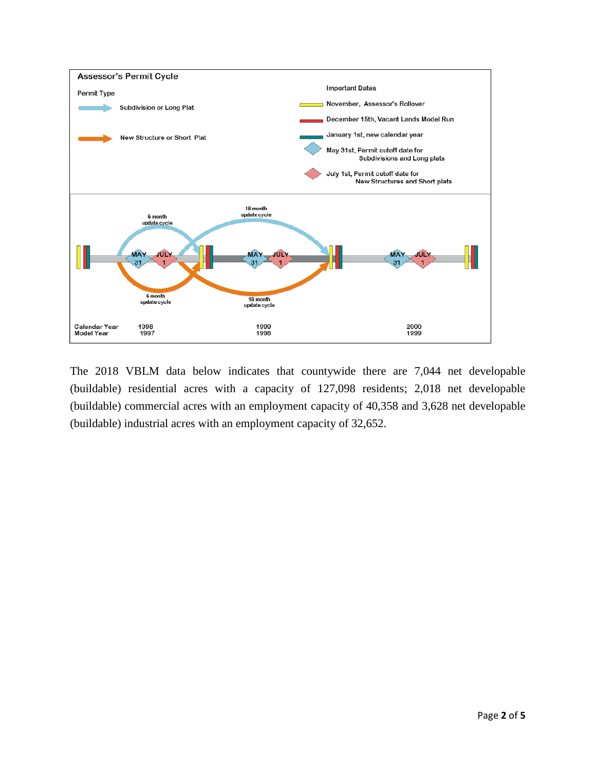

The 2018 VBLM data below indicates that countywide there are 7,044 net developable (buildable) residential acres with a capacity of 127,098 residents; 2,018 net developable (buildable) commercial acres with an employment capacity of 40,358 and 3,628 net developable (buildable) industrial acres with an employment capacity of 32,652.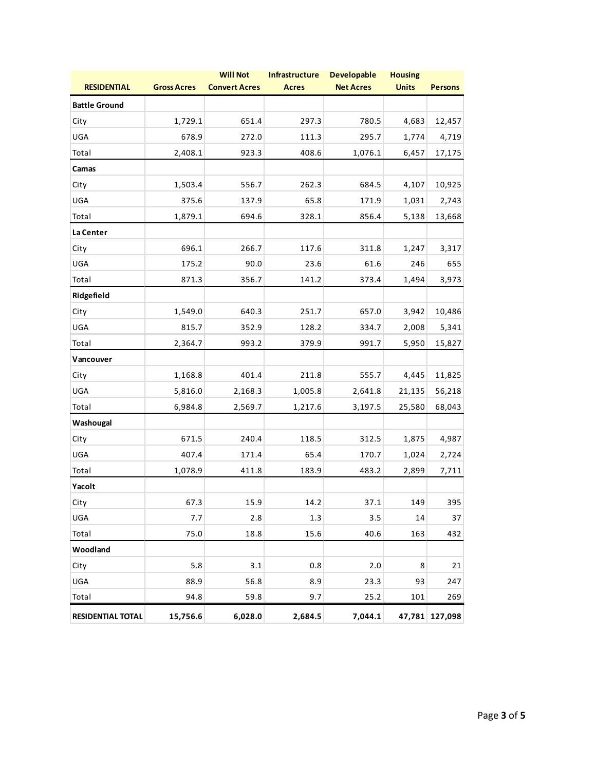| <b>RESIDENTIAL</b>       | <b>Gross Acres</b> | <b>Will Not</b><br><b>Convert Acres</b> | Infrastructure<br><b>Acres</b> | <b>Developable</b><br><b>Net Acres</b> | <b>Housing</b><br><b>Units</b> | <b>Persons</b> |
|--------------------------|--------------------|-----------------------------------------|--------------------------------|----------------------------------------|--------------------------------|----------------|
| <b>Battle Ground</b>     |                    |                                         |                                |                                        |                                |                |
| City                     | 1,729.1            | 651.4                                   | 297.3                          | 780.5                                  | 4,683                          | 12,457         |
| UGA                      | 678.9              | 272.0                                   | 111.3                          | 295.7                                  | 1,774                          | 4,719          |
| Total                    | 2,408.1            | 923.3                                   | 408.6                          | 1,076.1                                | 6,457                          | 17,175         |
| Camas                    |                    |                                         |                                |                                        |                                |                |
| City                     | 1,503.4            | 556.7                                   | 262.3                          | 684.5                                  | 4,107                          | 10,925         |
| UGA                      | 375.6              | 137.9                                   | 65.8                           | 171.9                                  | 1,031                          | 2,743          |
| Total                    | 1,879.1            | 694.6                                   | 328.1                          | 856.4                                  | 5,138                          | 13,668         |
| La Center                |                    |                                         |                                |                                        |                                |                |
| City                     | 696.1              | 266.7                                   | 117.6                          | 311.8                                  | 1,247                          | 3,317          |
| UGA                      | 175.2              | 90.0                                    | 23.6                           | 61.6                                   | 246                            | 655            |
| Total                    | 871.3              | 356.7                                   | 141.2                          | 373.4                                  | 1,494                          | 3,973          |
| Ridgefield               |                    |                                         |                                |                                        |                                |                |
| City                     | 1,549.0            | 640.3                                   | 251.7                          | 657.0                                  | 3,942                          | 10,486         |
| UGA                      | 815.7              | 352.9                                   | 128.2                          | 334.7                                  | 2,008                          | 5,341          |
| Total                    | 2,364.7            | 993.2                                   | 379.9                          | 991.7                                  | 5,950                          | 15,827         |
| Vancouver                |                    |                                         |                                |                                        |                                |                |
| City                     | 1,168.8            | 401.4                                   | 211.8                          | 555.7                                  | 4,445                          | 11,825         |
| UGA                      | 5,816.0            | 2,168.3                                 | 1,005.8                        | 2,641.8                                | 21,135                         | 56,218         |
| Total                    | 6,984.8            | 2,569.7                                 | 1,217.6                        | 3,197.5                                | 25,580                         | 68,043         |
| Washougal                |                    |                                         |                                |                                        |                                |                |
| City                     | 671.5              | 240.4                                   | 118.5                          | 312.5                                  | 1,875                          | 4,987          |
| UGA                      | 407.4              | 171.4                                   | 65.4                           | 170.7                                  | 1,024                          | 2,724          |
| Total                    | 1,078.9            | 411.8                                   | 183.9                          | 483.2                                  | 2,899                          | 7,711          |
| Yacolt                   |                    |                                         |                                |                                        |                                |                |
| City                     | 67.3               | 15.9                                    | 14.2                           | 37.1                                   | 149                            | 395            |
| <b>UGA</b>               | 7.7                | 2.8                                     | 1.3                            | 3.5                                    | 14                             | 37             |
| Total                    | 75.0               | 18.8                                    | 15.6                           | 40.6                                   | 163                            | 432            |
| Woodland                 |                    |                                         |                                |                                        |                                |                |
| City                     | 5.8                | 3.1                                     | 0.8                            | 2.0                                    | 8                              | 21             |
| UGA                      | 88.9               | 56.8                                    | 8.9                            | 23.3                                   | 93                             | 247            |
| Total                    | 94.8               | 59.8                                    | 9.7                            | 25.2                                   | 101                            | 269            |
| <b>RESIDENTIAL TOTAL</b> | 15,756.6           | 6,028.0                                 | 2,684.5                        | 7,044.1                                |                                | 47,781 127,098 |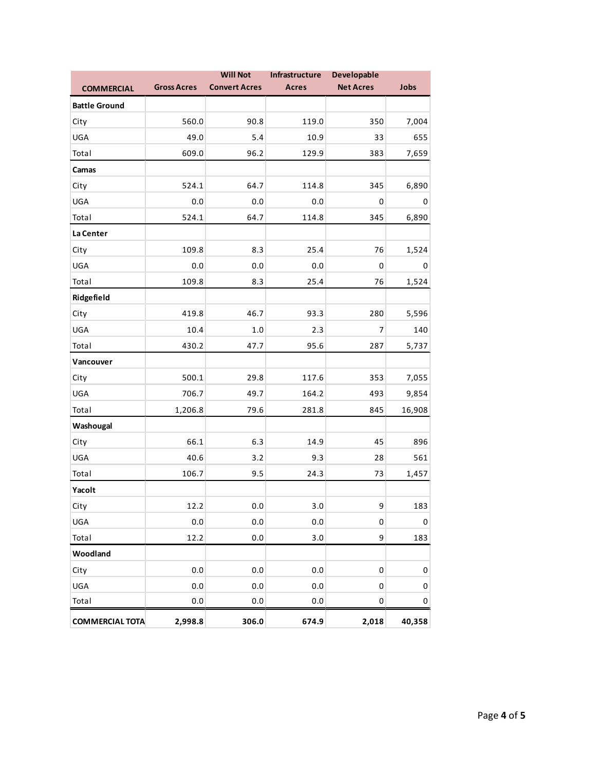| <b>COMMERCIAL</b>      | <b>Gross Acres</b> | <b>Will Not</b><br><b>Convert Acres</b> | Infrastructure<br><b>Acres</b> | <b>Developable</b><br><b>Net Acres</b> | Jobs        |
|------------------------|--------------------|-----------------------------------------|--------------------------------|----------------------------------------|-------------|
| <b>Battle Ground</b>   |                    |                                         |                                |                                        |             |
| City                   | 560.0              | 90.8                                    | 119.0                          | 350                                    | 7,004       |
| UGA                    | 49.0               | 5.4                                     | 10.9                           | 33                                     | 655         |
| Total                  | 609.0              | 96.2                                    | 129.9                          | 383                                    | 7,659       |
| Camas                  |                    |                                         |                                |                                        |             |
| City                   | 524.1              | 64.7                                    | 114.8                          | 345                                    | 6,890       |
| UGA                    | $0.0\,$            | 0.0                                     | 0.0                            | $\pmb{0}$                              | 0           |
| Total                  | 524.1              | 64.7                                    | 114.8                          | 345                                    | 6,890       |
| La Center              |                    |                                         |                                |                                        |             |
| City                   | 109.8              | 8.3                                     | 25.4                           | 76                                     | 1,524       |
| UGA                    | $0.0\,$            | 0.0                                     | $0.0\,$                        | $\mathbf 0$                            | 0           |
| Total                  | 109.8              | 8.3                                     | 25.4                           | 76                                     | 1,524       |
| Ridgefield             |                    |                                         |                                |                                        |             |
| City                   | 419.8              | 46.7                                    | 93.3                           | 280                                    | 5,596       |
| UGA                    | 10.4               | $1.0\,$                                 | 2.3                            | $\overline{7}$                         | 140         |
| Total                  | 430.2              | 47.7                                    | 95.6                           | 287                                    | 5,737       |
| Vancouver              |                    |                                         |                                |                                        |             |
| City                   | 500.1              | 29.8                                    | 117.6                          | 353                                    | 7,055       |
| UGA                    | 706.7              | 49.7                                    | 164.2                          | 493                                    | 9,854       |
| Total                  | 1,206.8            | 79.6                                    | 281.8                          | 845                                    | 16,908      |
| Washougal              |                    |                                         |                                |                                        |             |
| City                   | 66.1               | 6.3                                     | 14.9                           | 45                                     | 896         |
| UGA                    | 40.6               | 3.2                                     | 9.3                            | 28                                     | 561         |
| Total                  | 106.7              | 9.5                                     | 24.3                           | 73                                     | 1,457       |
| Yacolt                 |                    |                                         |                                |                                        |             |
| City                   | 12.2               | $0.0\,$                                 | 3.0                            | 9                                      | 183         |
| UGA                    | $0.0\,$            | 0.0                                     | 0.0                            | $\mathbf 0$                            | $\mathbf 0$ |
| Total                  | 12.2               | $0.0\,$                                 | 3.0                            | 9                                      | 183         |
| Woodland               |                    |                                         |                                |                                        |             |
| City                   | 0.0                | $0.0\,$                                 | 0.0                            | $\pmb{0}$                              | $\mathbf 0$ |
| UGA                    | 0.0                | $0.0\,$                                 | 0.0                            | $\mathbf 0$                            | 0           |
| Total                  | 0.0                | $0.0\,$                                 | $0.0\,$                        | $\pmb{0}$                              | 0           |
| <b>COMMERCIAL TOTA</b> | 2,998.8            | 306.0                                   | 674.9                          | 2,018                                  | 40,358      |